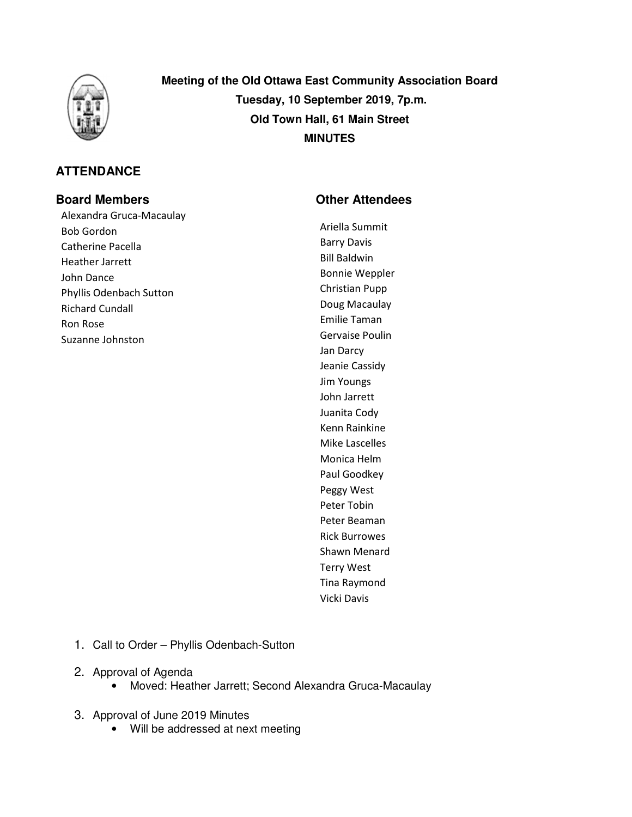

# **ATTENDANCE**

Alexandra Gruca-Macaulay Bob Gordon Catherine Pacella Heather Jarrett John Dance Phyllis Odenbach Sutton Richard Cundall Ron Rose Suzanne Johnston

**Meeting of the Old Ottawa East Community Association Board Tuesday, 10 September 2019, 7p.m. Old Town Hall, 61 Main Street MINUTES** 

# **Board Members Community Community Community Community Community Community Community Community Community Community Community Community Community Community Community Community Community Community Community Community Communi**

Ariella Summit Barry Davis Bill Baldwin Bonnie Weppler Christian Pupp Doug Macaulay Emilie Taman Gervaise Poulin Jan Darcy Jeanie Cassidy Jim Youngs John Jarrett Juanita Cody Kenn Rainkine Mike Lascelles Monica Helm Paul Goodkey Peggy West Peter Tobin Peter Beaman Rick Burrowes Shawn Menard Terry West Tina Raymond Vicki Davis

- 1. Call to Order Phyllis Odenbach-Sutton
- 2. Approval of Agenda
	- Moved: Heather Jarrett; Second Alexandra Gruca-Macaulay
- 3. Approval of June 2019 Minutes
	- Will be addressed at next meeting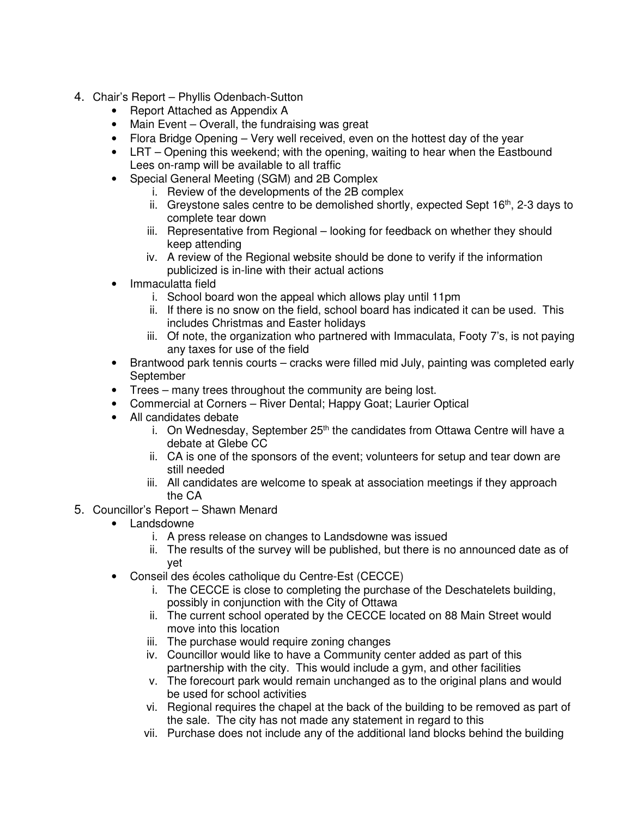- 4. Chair's Report Phyllis Odenbach-Sutton
	- Report Attached as Appendix A
	- Main Event Overall, the fundraising was great
	- Flora Bridge Opening Very well received, even on the hottest day of the year
	- LRT Opening this weekend; with the opening, waiting to hear when the Eastbound Lees on-ramp will be available to all traffic
	- Special General Meeting (SGM) and 2B Complex
		- i. Review of the developments of the 2B complex
		- ii. Greystone sales centre to be demolished shortly, expected Sept  $16<sup>th</sup>$ , 2-3 days to complete tear down
		- iii. Representative from Regional looking for feedback on whether they should keep attending
		- iv. A review of the Regional website should be done to verify if the information publicized is in-line with their actual actions
	- Immaculatta field
		- i. School board won the appeal which allows play until 11pm
		- ii. If there is no snow on the field, school board has indicated it can be used. This includes Christmas and Easter holidays
		- iii. Of note, the organization who partnered with Immaculata, Footy 7's, is not paying any taxes for use of the field
	- Brantwood park tennis courts cracks were filled mid July, painting was completed early September
	- Trees many trees throughout the community are being lost.
	- Commercial at Corners River Dental: Happy Goat: Laurier Optical
	- All candidates debate
		- i. On Wednesday, September  $25<sup>th</sup>$  the candidates from Ottawa Centre will have a debate at Glebe CC
		- ii. CA is one of the sponsors of the event; volunteers for setup and tear down are still needed
		- iii. All candidates are welcome to speak at association meetings if they approach the CA
- 5. Councillor's Report Shawn Menard
	- Landsdowne
		- i. A press release on changes to Landsdowne was issued
		- ii. The results of the survey will be published, but there is no announced date as of yet
	- Conseil des écoles catholique du Centre-Est (CECCE)
		- i. The CECCE is close to completing the purchase of the Deschatelets building, possibly in conjunction with the City of Ottawa
		- ii. The current school operated by the CECCE located on 88 Main Street would move into this location
		- iii. The purchase would require zoning changes
		- iv. Councillor would like to have a Community center added as part of this partnership with the city. This would include a gym, and other facilities
		- v. The forecourt park would remain unchanged as to the original plans and would be used for school activities
		- vi. Regional requires the chapel at the back of the building to be removed as part of the sale. The city has not made any statement in regard to this
		- vii. Purchase does not include any of the additional land blocks behind the building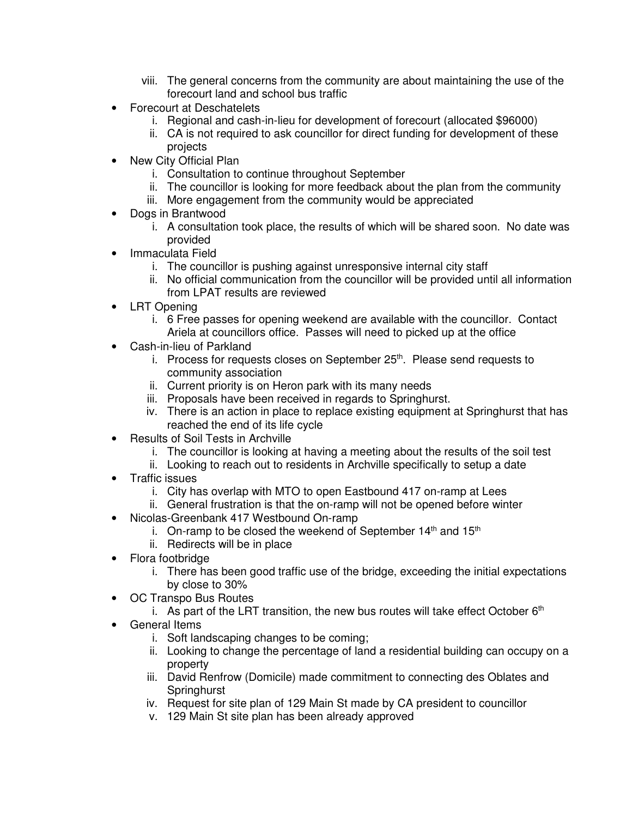- viii. The general concerns from the community are about maintaining the use of the forecourt land and school bus traffic
- Forecourt at Deschatelets
	- i. Regional and cash-in-lieu for development of forecourt (allocated \$96000)
	- ii. CA is not required to ask councillor for direct funding for development of these projects
- New City Official Plan
	- i. Consultation to continue throughout September
	- ii. The councillor is looking for more feedback about the plan from the community
	- iii. More engagement from the community would be appreciated
- Dogs in Brantwood
	- i. A consultation took place, the results of which will be shared soon. No date was provided
- Immaculata Field
	- i. The councillor is pushing against unresponsive internal city staff
	- ii. No official communication from the councillor will be provided until all information from LPAT results are reviewed
- **LRT Opening** 
	- i. 6 Free passes for opening weekend are available with the councillor. Contact Ariela at councillors office. Passes will need to picked up at the office
- Cash-in-lieu of Parkland
	- i. Process for requests closes on September  $25<sup>th</sup>$ . Please send requests to community association
	- ii. Current priority is on Heron park with its many needs
	- iii. Proposals have been received in regards to Springhurst.
	- iv. There is an action in place to replace existing equipment at Springhurst that has reached the end of its life cycle
- Results of Soil Tests in Archville
	- i. The councillor is looking at having a meeting about the results of the soil test
	- ii. Looking to reach out to residents in Archville specifically to setup a date
- Traffic issues
	- i. City has overlap with MTO to open Eastbound 417 on-ramp at Lees
	- ii. General frustration is that the on-ramp will not be opened before winter
- Nicolas-Greenbank 417 Westbound On-ramp
	- i. On-ramp to be closed the weekend of September  $14<sup>th</sup>$  and  $15<sup>th</sup>$
	- ii. Redirects will be in place
- Flora footbridge
	- i. There has been good traffic use of the bridge, exceeding the initial expectations by close to 30%
- OC Transpo Bus Routes
	- i. As part of the LRT transition, the new bus routes will take effect October  $6<sup>th</sup>$
- General Items
	- i. Soft landscaping changes to be coming;
	- ii. Looking to change the percentage of land a residential building can occupy on a property
	- iii. David Renfrow (Domicile) made commitment to connecting des Oblates and **Springhurst**
	- iv. Request for site plan of 129 Main St made by CA president to councillor
	- v. 129 Main St site plan has been already approved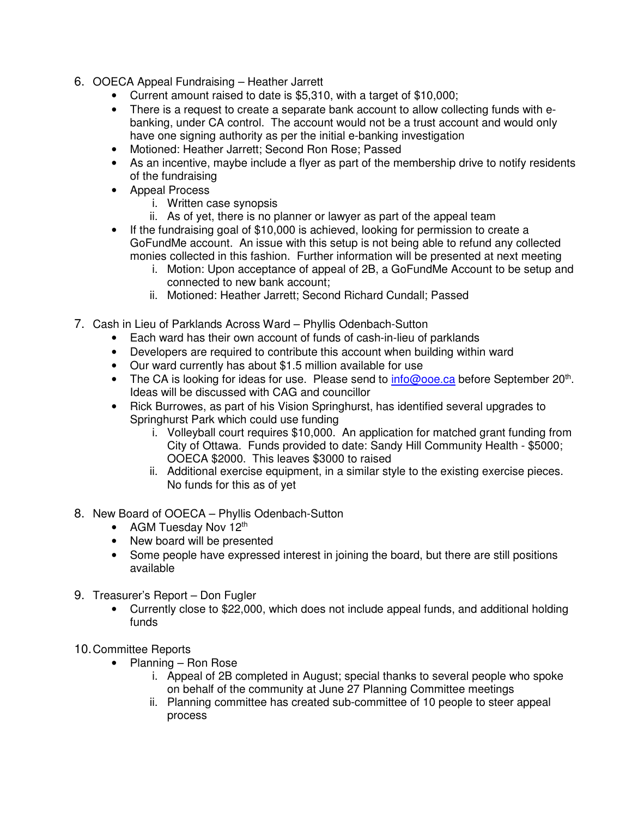- 6. OOECA Appeal Fundraising Heather Jarrett
	- Current amount raised to date is \$5,310, with a target of \$10,000;
	- There is a request to create a separate bank account to allow collecting funds with ebanking, under CA control. The account would not be a trust account and would only have one signing authority as per the initial e-banking investigation
	- Motioned: Heather Jarrett; Second Ron Rose; Passed
	- As an incentive, maybe include a flyer as part of the membership drive to notify residents of the fundraising
	- Appeal Process
		- i. Written case synopsis
		- ii. As of yet, there is no planner or lawyer as part of the appeal team
	- If the fundraising goal of \$10,000 is achieved, looking for permission to create a GoFundMe account. An issue with this setup is not being able to refund any collected monies collected in this fashion. Further information will be presented at next meeting
		- i. Motion: Upon acceptance of appeal of 2B, a GoFundMe Account to be setup and connected to new bank account;
		- ii. Motioned: Heather Jarrett; Second Richard Cundall; Passed
- 7. Cash in Lieu of Parklands Across Ward Phyllis Odenbach-Sutton
	- Each ward has their own account of funds of cash-in-lieu of parklands
	- Developers are required to contribute this account when building within ward
	- Our ward currently has about \$1.5 million available for use
	- The CA is looking for ideas for use. Please send to **info@ooe.ca** before September 20<sup>th</sup>. Ideas will be discussed with CAG and councillor
	- Rick Burrowes, as part of his Vision Springhurst, has identified several upgrades to Springhurst Park which could use funding
		- i. Volleyball court requires \$10,000. An application for matched grant funding from City of Ottawa. Funds provided to date: Sandy Hill Community Health - \$5000; OOECA \$2000. This leaves \$3000 to raised
		- ii. Additional exercise equipment, in a similar style to the existing exercise pieces. No funds for this as of yet
- 8. New Board of OOECA Phyllis Odenbach-Sutton
	- AGM Tuesday Nov 12<sup>th</sup>
	- New board will be presented
	- Some people have expressed interest in joining the board, but there are still positions available
- 9. Treasurer's Report Don Fugler
	- Currently close to \$22,000, which does not include appeal funds, and additional holding funds
- 10. Committee Reports
	- Planning Ron Rose
		- i. Appeal of 2B completed in August; special thanks to several people who spoke on behalf of the community at June 27 Planning Committee meetings
		- ii. Planning committee has created sub-committee of 10 people to steer appeal process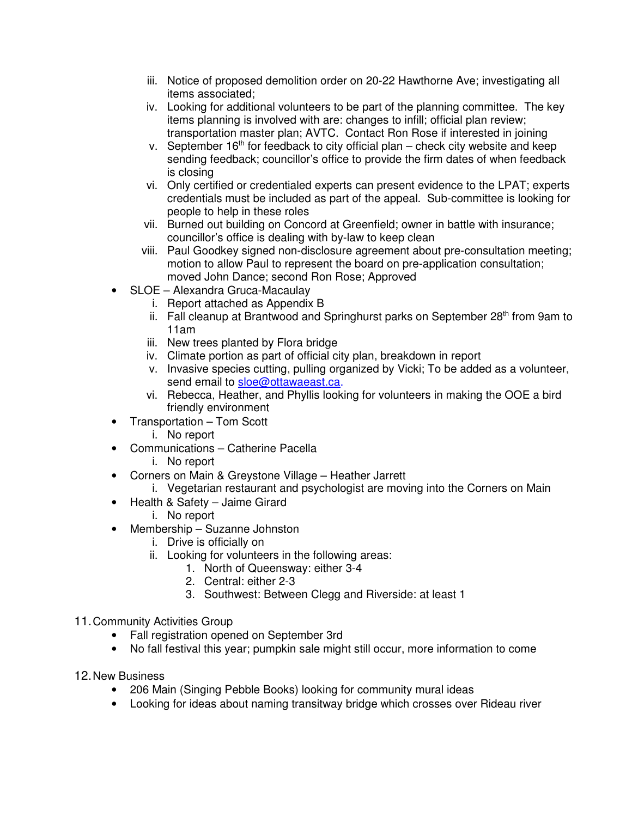- iii. Notice of proposed demolition order on 20-22 Hawthorne Ave; investigating all items associated;
- iv. Looking for additional volunteers to be part of the planning committee. The key items planning is involved with are: changes to infill; official plan review; transportation master plan; AVTC. Contact Ron Rose if interested in joining
- v. September  $16<sup>th</sup>$  for feedback to city official plan check city website and keep sending feedback; councillor's office to provide the firm dates of when feedback is closing
- vi. Only certified or credentialed experts can present evidence to the LPAT; experts credentials must be included as part of the appeal. Sub-committee is looking for people to help in these roles
- vii. Burned out building on Concord at Greenfield; owner in battle with insurance; councillor's office is dealing with by-law to keep clean
- viii. Paul Goodkey signed non-disclosure agreement about pre-consultation meeting; motion to allow Paul to represent the board on pre-application consultation; moved John Dance; second Ron Rose; Approved
- SLOE Alexandra Gruca-Macaulay
	- i. Report attached as Appendix B
	- ii. Fall cleanup at Brantwood and Springhurst parks on September  $28<sup>th</sup>$  from 9am to 11am
	- iii. New trees planted by Flora bridge
	- iv. Climate portion as part of official city plan, breakdown in report
	- v. Invasive species cutting, pulling organized by Vicki; To be added as a volunteer, send email to sloe@ottawaeast.ca.
	- vi. Rebecca, Heather, and Phyllis looking for volunteers in making the OOE a bird friendly environment
- Transportation Tom Scott
	- i. No report
- Communications Catherine Pacella
	- i. No report
- Corners on Main & Greystone Village Heather Jarrett
	- i. Vegetarian restaurant and psychologist are moving into the Corners on Main
- Health & Safety Jaime Girard
	- i. No report
- Membership Suzanne Johnston
	- i. Drive is officially on
	- ii. Looking for volunteers in the following areas:
		- 1. North of Queensway: either 3-4
		- 2. Central: either 2-3
		- 3. Southwest: Between Clegg and Riverside: at least 1
- 11. Community Activities Group
	- Fall registration opened on September 3rd
	- No fall festival this year; pumpkin sale might still occur, more information to come
- 12. New Business
	- 206 Main (Singing Pebble Books) looking for community mural ideas
	- Looking for ideas about naming transitway bridge which crosses over Rideau river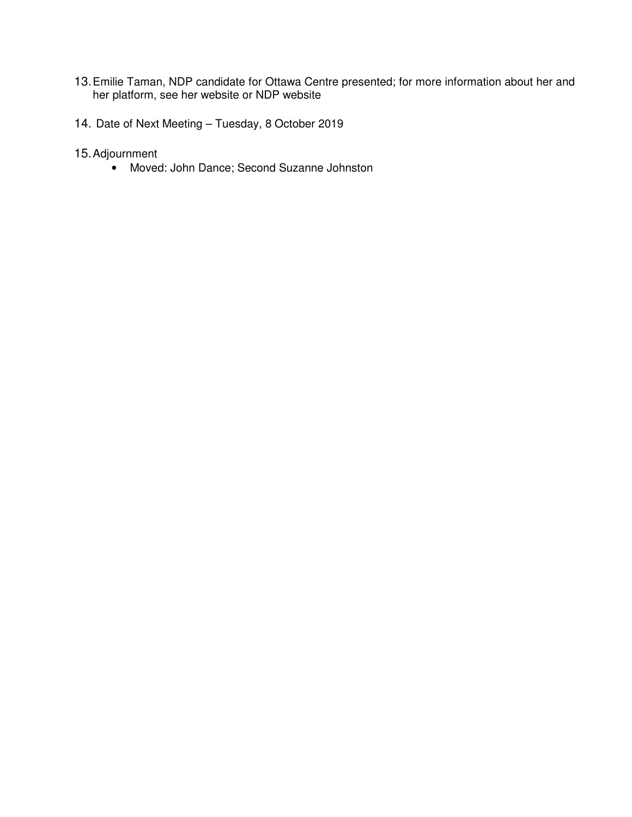- 13. Emilie Taman, NDP candidate for Ottawa Centre presented; for more information about her and her platform, see her website or NDP website
- 14. Date of Next Meeting Tuesday, 8 October 2019
- 15. Adjournment
	- Moved: John Dance; Second Suzanne Johnston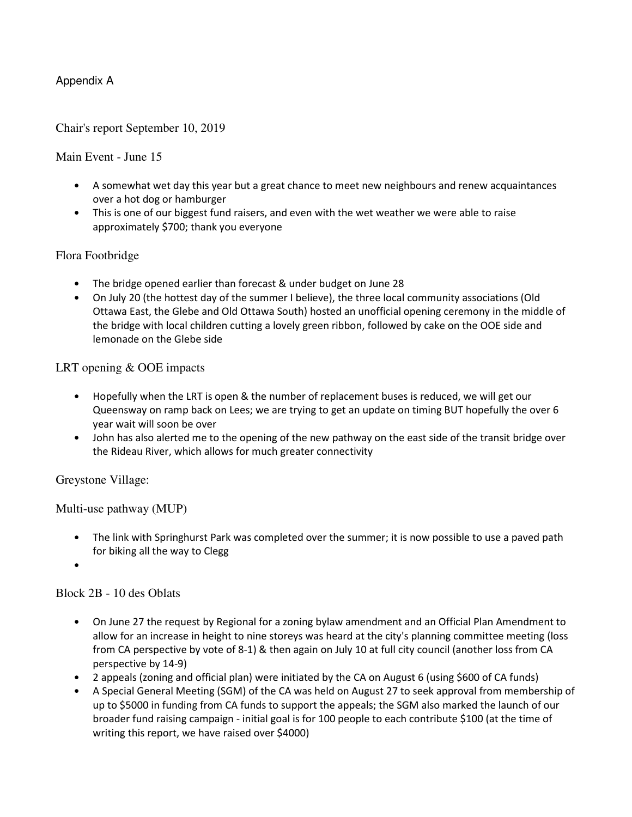## Appendix A

#### Chair's report September 10, 2019

#### Main Event - June 15

- A somewhat wet day this year but a great chance to meet new neighbours and renew acquaintances over a hot dog or hamburger
- This is one of our biggest fund raisers, and even with the wet weather we were able to raise approximately \$700; thank you everyone

#### Flora Footbridge

- The bridge opened earlier than forecast & under budget on June 28
- On July 20 (the hottest day of the summer I believe), the three local community associations (Old Ottawa East, the Glebe and Old Ottawa South) hosted an unofficial opening ceremony in the middle of the bridge with local children cutting a lovely green ribbon, followed by cake on the OOE side and lemonade on the Glebe side

#### LRT opening & OOE impacts

- Hopefully when the LRT is open & the number of replacement buses is reduced, we will get our Queensway on ramp back on Lees; we are trying to get an update on timing BUT hopefully the over 6 year wait will soon be over
- John has also alerted me to the opening of the new pathway on the east side of the transit bridge over the Rideau River, which allows for much greater connectivity

#### Greystone Village:

Multi-use pathway (MUP)

- The link with Springhurst Park was completed over the summer; it is now possible to use a paved path for biking all the way to Clegg
- •

## Block 2B - 10 des Oblats

- On June 27 the request by Regional for a zoning bylaw amendment and an Official Plan Amendment to allow for an increase in height to nine storeys was heard at the city's planning committee meeting (loss from CA perspective by vote of 8-1) & then again on July 10 at full city council (another loss from CA perspective by 14-9)
- 2 appeals (zoning and official plan) were initiated by the CA on August 6 (using \$600 of CA funds)
- A Special General Meeting (SGM) of the CA was held on August 27 to seek approval from membership of up to \$5000 in funding from CA funds to support the appeals; the SGM also marked the launch of our broader fund raising campaign - initial goal is for 100 people to each contribute \$100 (at the time of writing this report, we have raised over \$4000)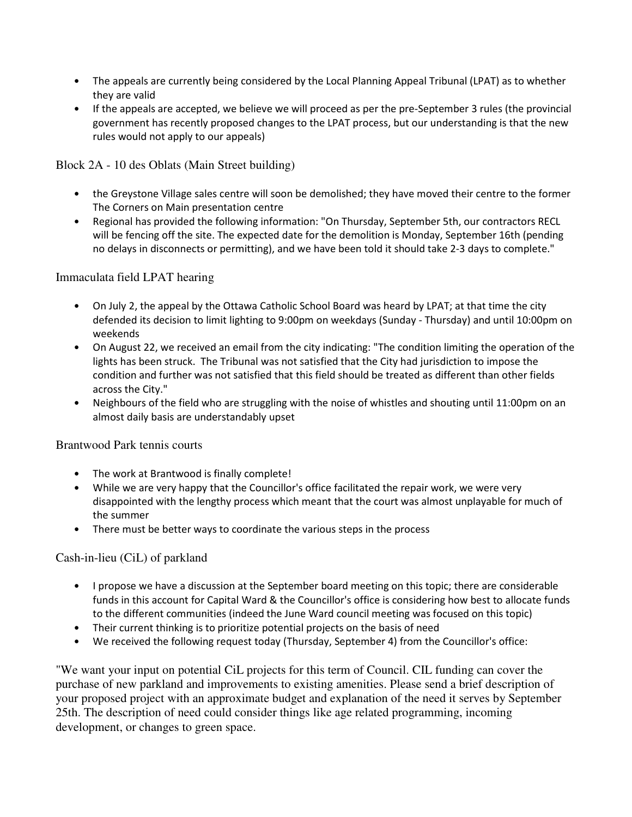- The appeals are currently being considered by the Local Planning Appeal Tribunal (LPAT) as to whether they are valid
- If the appeals are accepted, we believe we will proceed as per the pre-September 3 rules (the provincial government has recently proposed changes to the LPAT process, but our understanding is that the new rules would not apply to our appeals)

Block 2A - 10 des Oblats (Main Street building)

- the Greystone Village sales centre will soon be demolished; they have moved their centre to the former The Corners on Main presentation centre
- Regional has provided the following information: "On Thursday, September 5th, our contractors RECL will be fencing off the site. The expected date for the demolition is Monday, September 16th (pending no delays in disconnects or permitting), and we have been told it should take 2-3 days to complete."

#### Immaculata field LPAT hearing

- On July 2, the appeal by the Ottawa Catholic School Board was heard by LPAT; at that time the city defended its decision to limit lighting to 9:00pm on weekdays (Sunday - Thursday) and until 10:00pm on weekends
- On August 22, we received an email from the city indicating: "The condition limiting the operation of the lights has been struck. The Tribunal was not satisfied that the City had jurisdiction to impose the condition and further was not satisfied that this field should be treated as different than other fields across the City."
- Neighbours of the field who are struggling with the noise of whistles and shouting until 11:00pm on an almost daily basis are understandably upset

## Brantwood Park tennis courts

- The work at Brantwood is finally complete!
- While we are very happy that the Councillor's office facilitated the repair work, we were very disappointed with the lengthy process which meant that the court was almost unplayable for much of the summer
- There must be better ways to coordinate the various steps in the process

## Cash-in-lieu (CiL) of parkland

- I propose we have a discussion at the September board meeting on this topic; there are considerable funds in this account for Capital Ward & the Councillor's office is considering how best to allocate funds to the different communities (indeed the June Ward council meeting was focused on this topic)
- Their current thinking is to prioritize potential projects on the basis of need
- We received the following request today (Thursday, September 4) from the Councillor's office:

"We want your input on potential CiL projects for this term of Council. CIL funding can cover the purchase of new parkland and improvements to existing amenities. Please send a brief description of your proposed project with an approximate budget and explanation of the need it serves by September 25th. The description of need could consider things like age related programming, incoming development, or changes to green space.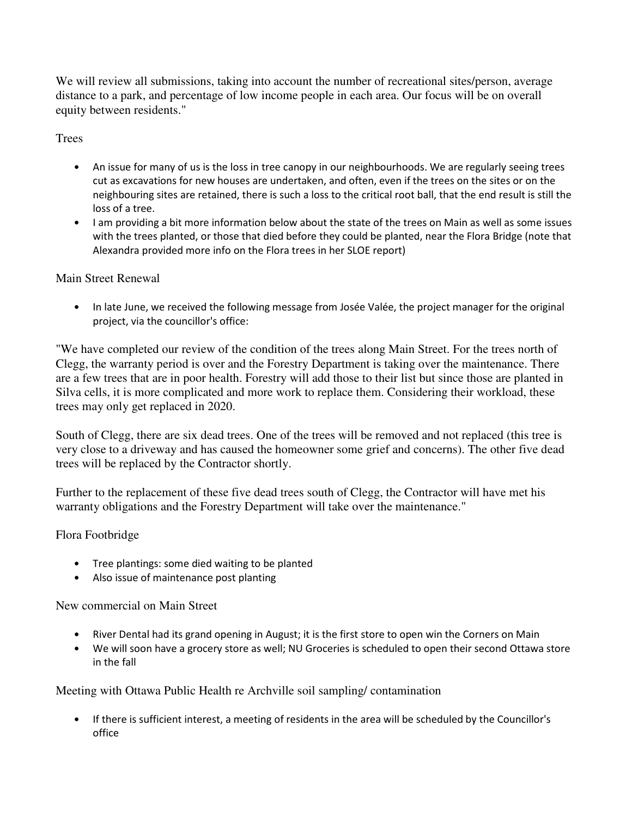We will review all submissions, taking into account the number of recreational sites/person, average distance to a park, and percentage of low income people in each area. Our focus will be on overall equity between residents."

# **Trees**

- An issue for many of us is the loss in tree canopy in our neighbourhoods. We are regularly seeing trees cut as excavations for new houses are undertaken, and often, even if the trees on the sites or on the neighbouring sites are retained, there is such a loss to the critical root ball, that the end result is still the loss of a tree.
- I am providing a bit more information below about the state of the trees on Main as well as some issues with the trees planted, or those that died before they could be planted, near the Flora Bridge (note that Alexandra provided more info on the Flora trees in her SLOE report)

## Main Street Renewal

• In late June, we received the following message from Josée Valée, the project manager for the original project, via the councillor's office:

"We have completed our review of the condition of the trees along Main Street. For the trees north of Clegg, the warranty period is over and the Forestry Department is taking over the maintenance. There are a few trees that are in poor health. Forestry will add those to their list but since those are planted in Silva cells, it is more complicated and more work to replace them. Considering their workload, these trees may only get replaced in 2020.

South of Clegg, there are six dead trees. One of the trees will be removed and not replaced (this tree is very close to a driveway and has caused the homeowner some grief and concerns). The other five dead trees will be replaced by the Contractor shortly.

Further to the replacement of these five dead trees south of Clegg, the Contractor will have met his warranty obligations and the Forestry Department will take over the maintenance."

## Flora Footbridge

- Tree plantings: some died waiting to be planted
- Also issue of maintenance post planting

New commercial on Main Street

- River Dental had its grand opening in August; it is the first store to open win the Corners on Main
- We will soon have a grocery store as well; NU Groceries is scheduled to open their second Ottawa store in the fall

## Meeting with Ottawa Public Health re Archville soil sampling/ contamination

• If there is sufficient interest, a meeting of residents in the area will be scheduled by the Councillor's office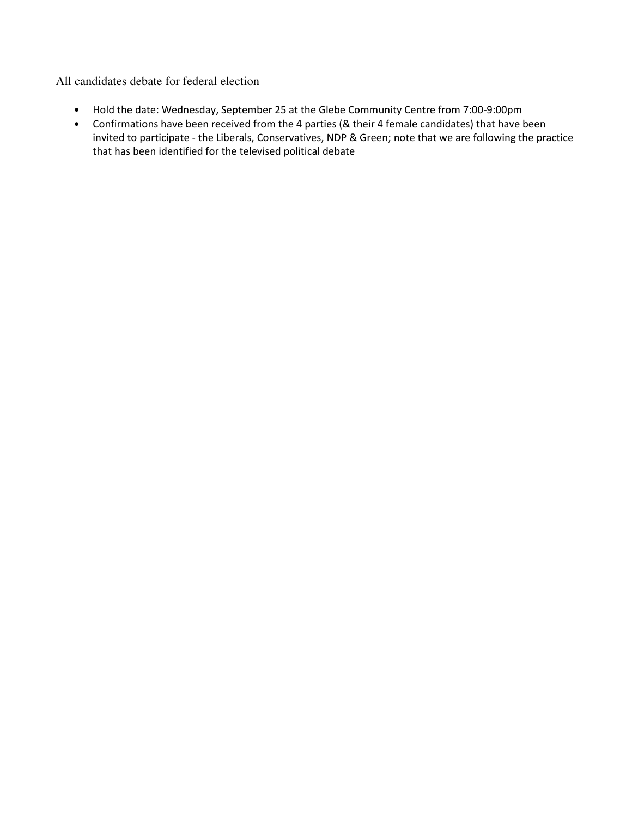All candidates debate for federal election

- Hold the date: Wednesday, September 25 at the Glebe Community Centre from 7:00-9:00pm
- Confirmations have been received from the 4 parties (& their 4 female candidates) that have been invited to participate - the Liberals, Conservatives, NDP & Green; note that we are following the practice that has been identified for the televised political debate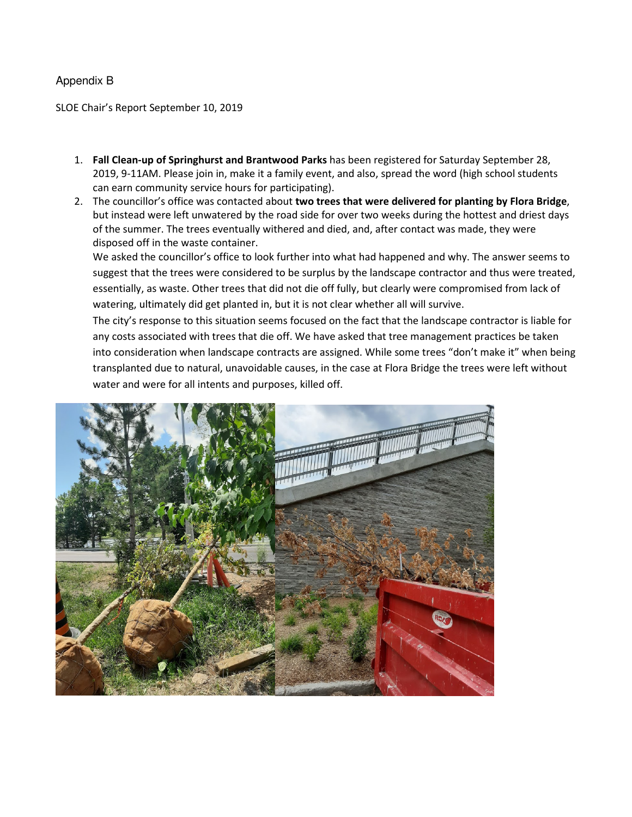#### Appendix B

SLOE Chair's Report September 10, 2019

- 1. **Fall Clean-up of Springhurst and Brantwood Parks** has been registered for Saturday September 28, 2019, 9-11AM. Please join in, make it a family event, and also, spread the word (high school students can earn community service hours for participating).
- 2. The councillor's office was contacted about **two trees that were delivered for planting by Flora Bridge**, but instead were left unwatered by the road side for over two weeks during the hottest and driest days of the summer. The trees eventually withered and died, and, after contact was made, they were disposed off in the waste container.

We asked the councillor's office to look further into what had happened and why. The answer seems to suggest that the trees were considered to be surplus by the landscape contractor and thus were treated, essentially, as waste. Other trees that did not die off fully, but clearly were compromised from lack of watering, ultimately did get planted in, but it is not clear whether all will survive.

The city's response to this situation seems focused on the fact that the landscape contractor is liable for any costs associated with trees that die off. We have asked that tree management practices be taken into consideration when landscape contracts are assigned. While some trees "don't make it" when being transplanted due to natural, unavoidable causes, in the case at Flora Bridge the trees were left without water and were for all intents and purposes, killed off.

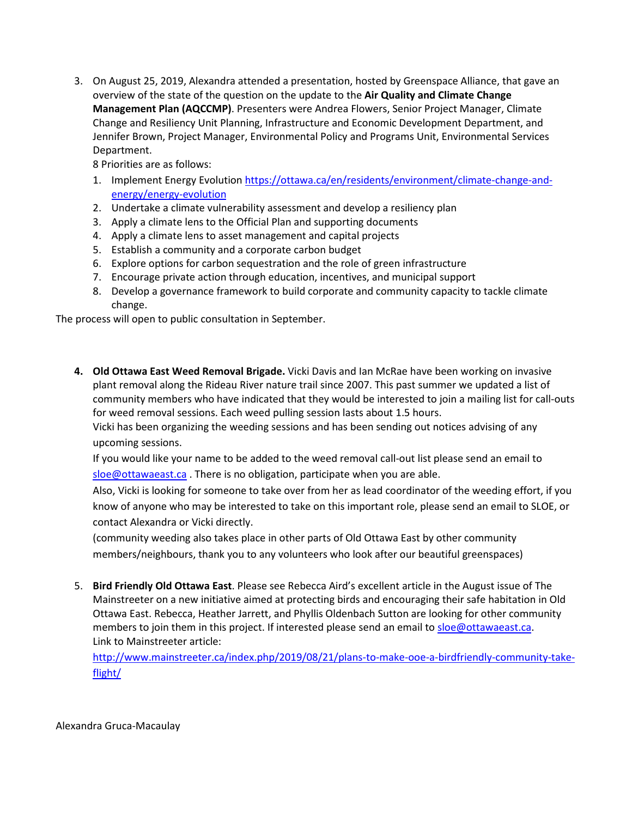3. On August 25, 2019, Alexandra attended a presentation, hosted by Greenspace Alliance, that gave an overview of the state of the question on the update to the **Air Quality and Climate Change Management Plan (AQCCMP)**. Presenters were Andrea Flowers, Senior Project Manager, Climate Change and Resiliency Unit Planning, Infrastructure and Economic Development Department, and Jennifer Brown, Project Manager, Environmental Policy and Programs Unit, Environmental Services Department.

8 Priorities are as follows:

- 1. Implement Energy Evolution https://ottawa.ca/en/residents/environment/climate-change-andenergy/energy-evolution
- 2. Undertake a climate vulnerability assessment and develop a resiliency plan
- 3. Apply a climate lens to the Official Plan and supporting documents
- 4. Apply a climate lens to asset management and capital projects
- 5. Establish a community and a corporate carbon budget
- 6. Explore options for carbon sequestration and the role of green infrastructure
- 7. Encourage private action through education, incentives, and municipal support
- 8. Develop a governance framework to build corporate and community capacity to tackle climate change.

The process will open to public consultation in September.

**4. Old Ottawa East Weed Removal Brigade.** Vicki Davis and Ian McRae have been working on invasive plant removal along the Rideau River nature trail since 2007. This past summer we updated a list of community members who have indicated that they would be interested to join a mailing list for call-outs for weed removal sessions. Each weed pulling session lasts about 1.5 hours.

Vicki has been organizing the weeding sessions and has been sending out notices advising of any upcoming sessions.

If you would like your name to be added to the weed removal call-out list please send an email to  $s$ loe@ottawaeast.ca</u>. There is no obligation, participate when you are able.

Also, Vicki is looking for someone to take over from her as lead coordinator of the weeding effort, if you know of anyone who may be interested to take on this important role, please send an email to SLOE, or contact Alexandra or Vicki directly.

(community weeding also takes place in other parts of Old Ottawa East by other community members/neighbours, thank you to any volunteers who look after our beautiful greenspaces)

5. **Bird Friendly Old Ottawa East**. Please see Rebecca Aird's excellent article in the August issue of The Mainstreeter on a new initiative aimed at protecting birds and encouraging their safe habitation in Old Ottawa East. Rebecca, Heather Jarrett, and Phyllis Oldenbach Sutton are looking for other community members to join them in this project. If interested please send an email to sloe@ottawaeast.ca. Link to Mainstreeter article:

http://www.mainstreeter.ca/index.php/2019/08/21/plans-to-make-ooe-a-birdfriendly-community-takeflight/

Alexandra Gruca-Macaulay